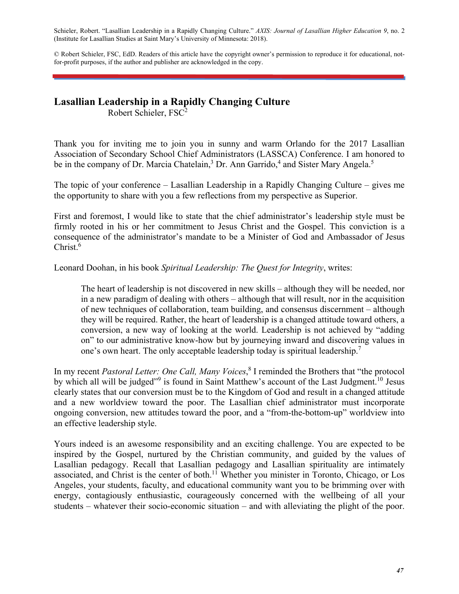Schieler, Robert. "Lasallian Leadership in a Rapidly Changing Culture." *AXIS: Journal of Lasallian Higher Education 9*, no. 2 (Institute for Lasallian Studies at Saint Mary's University of Minnesota: 2018).

© Robert Schieler, FSC, EdD. Readers of this article have the copyright owner's permission to reproduce it for educational, notfor-profit purposes, if the author and publisher are acknowledged in the copy.

## **Lasallian Leadership in a Rapidly Changing Culture**

Robert Schieler, FSC2

Thank you for inviting me to join you in sunny and warm Orlando for the 2017 Lasallian Association of Secondary School Chief Administrators (LASSCA) Conference. I am honored to be in the company of Dr. Marcia Chatelain,<sup>3</sup> Dr. Ann Garrido,<sup>4</sup> and Sister Mary Angela.<sup>5</sup>

The topic of your conference – Lasallian Leadership in a Rapidly Changing Culture – gives me the opportunity to share with you a few reflections from my perspective as Superior.

First and foremost, I would like to state that the chief administrator's leadership style must be firmly rooted in his or her commitment to Jesus Christ and the Gospel. This conviction is a consequence of the administrator's mandate to be a Minister of God and Ambassador of Jesus Christ.<sup>6</sup>

Leonard Doohan, in his book *Spiritual Leadership: The Quest for Integrity*, writes:

The heart of leadership is not discovered in new skills – although they will be needed, nor in a new paradigm of dealing with others – although that will result, nor in the acquisition of new techniques of collaboration, team building, and consensus discernment – although they will be required. Rather, the heart of leadership is a changed attitude toward others, a conversion, a new way of looking at the world. Leadership is not achieved by "adding on" to our administrative know-how but by journeying inward and discovering values in one's own heart. The only acceptable leadership today is spiritual leadership.<sup>7</sup>

In my recent *Pastoral Letter: One Call, Many Voices*, 8 I reminded the Brothers that "the protocol by which all will be judged"<sup>9</sup> is found in Saint Matthew's account of the Last Judgment.<sup>10</sup> Jesus clearly states that our conversion must be to the Kingdom of God and result in a changed attitude and a new worldview toward the poor. The Lasallian chief administrator must incorporate ongoing conversion, new attitudes toward the poor, and a "from-the-bottom-up" worldview into an effective leadership style.

Yours indeed is an awesome responsibility and an exciting challenge. You are expected to be inspired by the Gospel, nurtured by the Christian community, and guided by the values of Lasallian pedagogy. Recall that Lasallian pedagogy and Lasallian spirituality are intimately associated, and Christ is the center of both.<sup>11</sup> Whether you minister in Toronto, Chicago, or Los Angeles, your students, faculty, and educational community want you to be brimming over with energy, contagiously enthusiastic, courageously concerned with the wellbeing of all your students – whatever their socio-economic situation – and with alleviating the plight of the poor.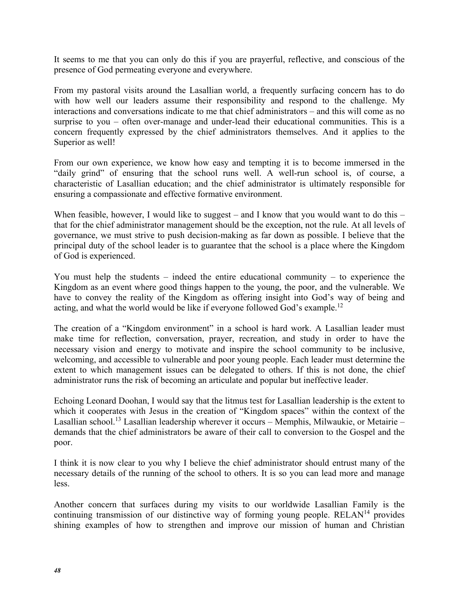It seems to me that you can only do this if you are prayerful, reflective, and conscious of the presence of God permeating everyone and everywhere.

From my pastoral visits around the Lasallian world, a frequently surfacing concern has to do with how well our leaders assume their responsibility and respond to the challenge. My interactions and conversations indicate to me that chief administrators – and this will come as no surprise to you – often over-manage and under-lead their educational communities. This is a concern frequently expressed by the chief administrators themselves. And it applies to the Superior as well!

From our own experience, we know how easy and tempting it is to become immersed in the "daily grind" of ensuring that the school runs well. A well-run school is, of course, a characteristic of Lasallian education; and the chief administrator is ultimately responsible for ensuring a compassionate and effective formative environment.

When feasible, however, I would like to suggest – and I know that you would want to do this – that for the chief administrator management should be the exception, not the rule. At all levels of governance, we must strive to push decision-making as far down as possible. I believe that the principal duty of the school leader is to guarantee that the school is a place where the Kingdom of God is experienced.

You must help the students – indeed the entire educational community – to experience the Kingdom as an event where good things happen to the young, the poor, and the vulnerable. We have to convey the reality of the Kingdom as offering insight into God's way of being and acting, and what the world would be like if everyone followed God's example.12

The creation of a "Kingdom environment" in a school is hard work. A Lasallian leader must make time for reflection, conversation, prayer, recreation, and study in order to have the necessary vision and energy to motivate and inspire the school community to be inclusive, welcoming, and accessible to vulnerable and poor young people. Each leader must determine the extent to which management issues can be delegated to others. If this is not done, the chief administrator runs the risk of becoming an articulate and popular but ineffective leader.

Echoing Leonard Doohan, I would say that the litmus test for Lasallian leadership is the extent to which it cooperates with Jesus in the creation of "Kingdom spaces" within the context of the Lasallian school.<sup>13</sup> Lasallian leadership wherever it occurs – Memphis, Milwaukie, or Metairie – demands that the chief administrators be aware of their call to conversion to the Gospel and the poor.

I think it is now clear to you why I believe the chief administrator should entrust many of the necessary details of the running of the school to others. It is so you can lead more and manage less.

Another concern that surfaces during my visits to our worldwide Lasallian Family is the continuing transmission of our distinctive way of forming young people.  $RELAN<sup>14</sup>$  provides shining examples of how to strengthen and improve our mission of human and Christian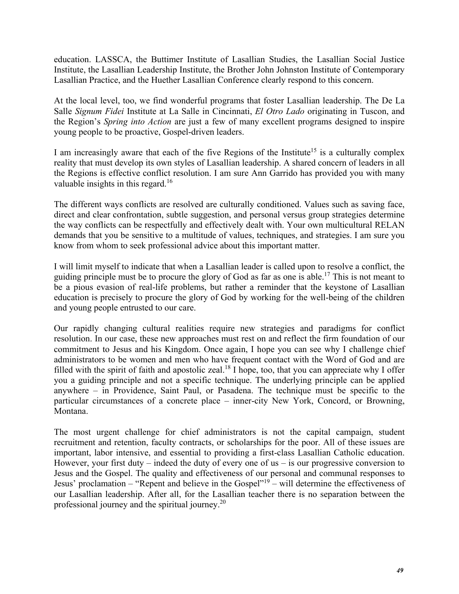education. LASSCA, the Buttimer Institute of Lasallian Studies, the Lasallian Social Justice Institute, the Lasallian Leadership Institute, the Brother John Johnston Institute of Contemporary Lasallian Practice, and the Huether Lasallian Conference clearly respond to this concern.

At the local level, too, we find wonderful programs that foster Lasallian leadership. The De La Salle *Signum Fidei* Institute at La Salle in Cincinnati, *El Otro Lado* originating in Tuscon, and the Region's *Spring into Action* are just a few of many excellent programs designed to inspire young people to be proactive, Gospel-driven leaders.

I am increasingly aware that each of the five Regions of the Institute<sup>15</sup> is a culturally complex reality that must develop its own styles of Lasallian leadership. A shared concern of leaders in all the Regions is effective conflict resolution. I am sure Ann Garrido has provided you with many valuable insights in this regard.<sup>16</sup>

The different ways conflicts are resolved are culturally conditioned. Values such as saving face, direct and clear confrontation, subtle suggestion, and personal versus group strategies determine the way conflicts can be respectfully and effectively dealt with. Your own multicultural RELAN demands that you be sensitive to a multitude of values, techniques, and strategies. I am sure you know from whom to seek professional advice about this important matter.

I will limit myself to indicate that when a Lasallian leader is called upon to resolve a conflict, the guiding principle must be to procure the glory of God as far as one is able.17 This is not meant to be a pious evasion of real-life problems, but rather a reminder that the keystone of Lasallian education is precisely to procure the glory of God by working for the well-being of the children and young people entrusted to our care.

Our rapidly changing cultural realities require new strategies and paradigms for conflict resolution. In our case, these new approaches must rest on and reflect the firm foundation of our commitment to Jesus and his Kingdom. Once again, I hope you can see why I challenge chief administrators to be women and men who have frequent contact with the Word of God and are filled with the spirit of faith and apostolic zeal.<sup>18</sup> I hope, too, that you can appreciate why I offer you a guiding principle and not a specific technique. The underlying principle can be applied anywhere – in Providence, Saint Paul, or Pasadena. The technique must be specific to the particular circumstances of a concrete place – inner-city New York, Concord, or Browning, Montana.

The most urgent challenge for chief administrators is not the capital campaign, student recruitment and retention, faculty contracts, or scholarships for the poor. All of these issues are important, labor intensive, and essential to providing a first-class Lasallian Catholic education. However, your first duty – indeed the duty of every one of us – is our progressive conversion to Jesus and the Gospel. The quality and effectiveness of our personal and communal responses to Jesus' proclamation – "Repent and believe in the Gospel"19 – will determine the effectiveness of our Lasallian leadership. After all, for the Lasallian teacher there is no separation between the professional journey and the spiritual journey.20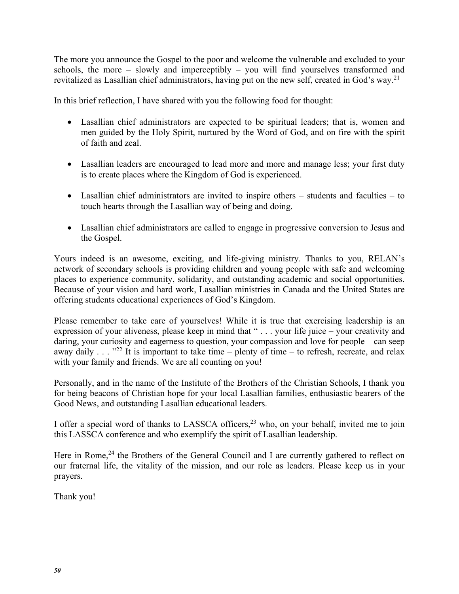The more you announce the Gospel to the poor and welcome the vulnerable and excluded to your schools, the more – slowly and imperceptibly – you will find yourselves transformed and revitalized as Lasallian chief administrators, having put on the new self, created in God's way.21

In this brief reflection, I have shared with you the following food for thought:

- Lasallian chief administrators are expected to be spiritual leaders; that is, women and men guided by the Holy Spirit, nurtured by the Word of God, and on fire with the spirit of faith and zeal.
- Lasallian leaders are encouraged to lead more and more and manage less; your first duty is to create places where the Kingdom of God is experienced.
- Lasallian chief administrators are invited to inspire others students and faculties to touch hearts through the Lasallian way of being and doing.
- Lasallian chief administrators are called to engage in progressive conversion to Jesus and the Gospel.

Yours indeed is an awesome, exciting, and life-giving ministry. Thanks to you, RELAN's network of secondary schools is providing children and young people with safe and welcoming places to experience community, solidarity, and outstanding academic and social opportunities. Because of your vision and hard work, Lasallian ministries in Canada and the United States are offering students educational experiences of God's Kingdom.

Please remember to take care of yourselves! While it is true that exercising leadership is an expression of your aliveness, please keep in mind that " . . . your life juice – your creativity and daring, your curiosity and eagerness to question, your compassion and love for people – can seep away daily  $\ldots$   $\cdot$ <sup>22</sup> It is important to take time – plenty of time – to refresh, recreate, and relax with your family and friends. We are all counting on you!

Personally, and in the name of the Institute of the Brothers of the Christian Schools, I thank you for being beacons of Christian hope for your local Lasallian families, enthusiastic bearers of the Good News, and outstanding Lasallian educational leaders.

I offer a special word of thanks to LASSCA officers,<sup>23</sup> who, on your behalf, invited me to join this LASSCA conference and who exemplify the spirit of Lasallian leadership.

Here in Rome,<sup>24</sup> the Brothers of the General Council and I are currently gathered to reflect on our fraternal life, the vitality of the mission, and our role as leaders. Please keep us in your prayers.

Thank you!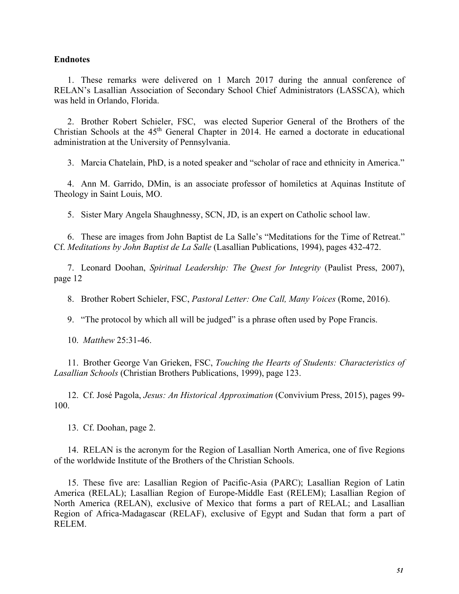## **Endnotes**

1. These remarks were delivered on 1 March 2017 during the annual conference of RELAN's Lasallian Association of Secondary School Chief Administrators (LASSCA), which was held in Orlando, Florida.

2. Brother Robert Schieler, FSC, was elected Superior General of the Brothers of the Christian Schools at the  $45<sup>th</sup>$  General Chapter in 2014. He earned a doctorate in educational administration at the University of Pennsylvania.

3. Marcia Chatelain, PhD, is a noted speaker and "scholar of race and ethnicity in America."

4. Ann M. Garrido, DMin, is an associate professor of homiletics at Aquinas Institute of Theology in Saint Louis, MO.

5. Sister Mary Angela Shaughnessy, SCN, JD, is an expert on Catholic school law.

6. These are images from John Baptist de La Salle's "Meditations for the Time of Retreat." Cf. *Meditations by John Baptist de La Salle* (Lasallian Publications, 1994), pages 432-472.

7. Leonard Doohan, *Spiritual Leadership: The Quest for Integrity* (Paulist Press, 2007), page 12

8. Brother Robert Schieler, FSC, *Pastoral Letter: One Call, Many Voices* (Rome, 2016).

9. "The protocol by which all will be judged" is a phrase often used by Pope Francis.

10. *Matthew* 25:31-46.

11. Brother George Van Grieken, FSC, *Touching the Hearts of Students: Characteristics of Lasallian Schools* (Christian Brothers Publications, 1999), page 123.

12. Cf. José Pagola, *Jesus: An Historical Approximation* (Convivium Press, 2015), pages 99- 100.

13. Cf. Doohan, page 2.

14. RELAN is the acronym for the Region of Lasallian North America, one of five Regions of the worldwide Institute of the Brothers of the Christian Schools.

15. These five are: Lasallian Region of Pacific-Asia (PARC); Lasallian Region of Latin America (RELAL); Lasallian Region of Europe-Middle East (RELEM); Lasallian Region of North America (RELAN), exclusive of Mexico that forms a part of RELAL; and Lasallian Region of Africa-Madagascar (RELAF), exclusive of Egypt and Sudan that form a part of RELEM.